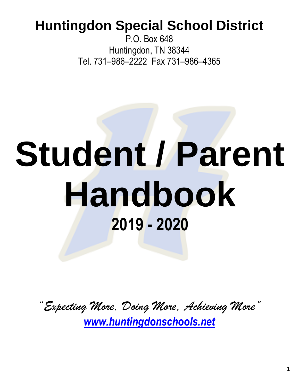## **Huntingdon Special School District**

P.O. Box 648 Huntingdon, TN 38344 Tel. 731–986–2222 Fax 731–986–4365

# **Student / Parent Handbook 2019 - 2020**

*"Expecting More, Doing More, Achieving More" [www.huntingdonschools.net](http://www.huntingdonschools.net/)*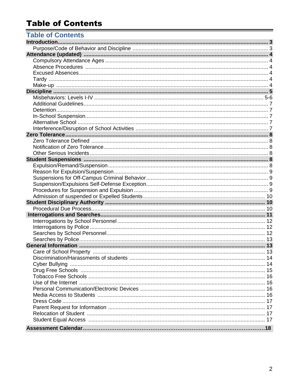#### **Table of Contents**

| <b>Table of Contents</b> |  |
|--------------------------|--|
|                          |  |
|                          |  |
|                          |  |
|                          |  |
|                          |  |
|                          |  |
|                          |  |
|                          |  |
|                          |  |
|                          |  |
|                          |  |
|                          |  |
|                          |  |
|                          |  |
|                          |  |
|                          |  |
|                          |  |
|                          |  |
|                          |  |
|                          |  |
|                          |  |
|                          |  |
|                          |  |
|                          |  |
|                          |  |
|                          |  |
|                          |  |
|                          |  |
|                          |  |
|                          |  |
|                          |  |
|                          |  |
|                          |  |
|                          |  |
|                          |  |
|                          |  |
|                          |  |
|                          |  |
|                          |  |
|                          |  |
|                          |  |
|                          |  |
|                          |  |
|                          |  |
|                          |  |
|                          |  |
|                          |  |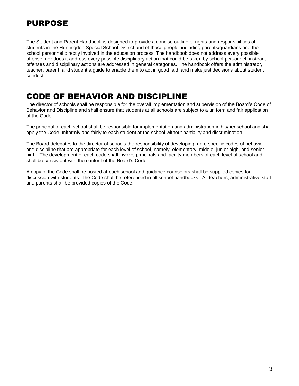The Student and Parent Handbook is designed to provide a concise outline of rights and responsibilities of students in the Huntingdon Special School District and of those people, including parents/guardians and the school personnel directly involved in the education process. The handbook does not address every possible offense, nor does it address every possible disciplinary action that could be taken by school personnel; instead, offenses and disciplinary actions are addressed in general categories. The handbook offers the administrator, teacher, parent, and student a guide to enable them to act in good faith and make just decisions about student conduct.

#### CODE OF BEHAVIOR AND DISCIPLINE

The director of schools shall be responsible for the overall implementation and supervision of the Board's Code of Behavior and Discipline and shall ensure that students at all schools are subject to a uniform and fair application of the Code.

The principal of each school shall be responsible for implementation and administration in his/her school and shall apply the Code uniformly and fairly to each student at the school without partiality and discrimination.

The Board delegates to the director of schools the responsibility of developing more specific codes of behavior and discipline that are appropriate for each level of school, namely, elementary, middle, junior high, and senior high. The development of each code shall involve principals and faculty members of each level of school and shall be consistent with the content of the Board's Code.

A copy of the Code shall be posted at each school and guidance counselors shall be supplied copies for discussion with students. The Code shall be referenced in all school handbooks. All teachers, administrative staff and parents shall be provided copies of the Code.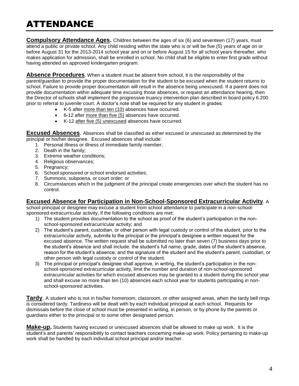## ATTENDANCE

**Compulsory Attendance Ages.** Children between the ages of six (6) and seventeen (17) years, must attend a public or private school. Any child residing within the state who is or will be five (5) years of age on or before August 31 for the 2013-2014 school year and on or before August 15 for all school years thereafter, who makes application for admission, shall be enrolled in school. No child shall be eligible to enter first grade without having attended an approved kindergarten program.

**Absence Procedures**. When a student must be absent from school, it is the responsibility of the parent/guardian to provide the proper documentation for the student to be excused when the student returns to school. Failure to provide proper documentation will result in the absence being unexcused. If a parent does not provide documentation within adequate time excusing those absences, or request an attendance hearing, then the Director of schools shall implement the progressive truancy intervention plan described in board policy 6.200 prior to referral to juvenile court. A doctor's note shall be required for any student in grades:

- K-5 after more than ten (10) absences have occurred.
- 6-12 after more than five (5) absences have occurred.
- K-12 after five (5) unexcused absences have occurred.

**Excused Absences**. Absences shall be classified as either excused or unexcused as determined by the principal or his/her designee. Excused absences shall include:

- 1. Personal illness or illness of immediate family member;
- 2. Death in the family;
- 3. Extreme weather conditions;
- 4. Religious observances;
- 5. Pregnancy;
- 6. School sponsored or school endorsed activities;
- 7. Summons, subpoena, or court order; or
- 8. Circumstances which in the judgment of the principal create emergencies over which the student has no control.

#### **Excused Absence for Participation in Non-School-Sponsored Extracurricular Activity**. A

school principal or designee may excuse a student from school attendance to participate in a non-schoolsponsored extracurricular activity, if the following conditions are met:

- 1) The student provides documentation to the school as proof of the student's participation in the nonschool-sponsored extracurricular activity; and
- 2) The student's parent, custodian, or other person with legal custody or control of the student, prior to the extracurricular activity, submits to the principal or the principal's designee a written request for the excused absence. The written request shall be submitted no later than seven (7) business days prior to the student's absence and shall include: the student's full name, grade, dates of the student's absence, reason for the student's absence; and the signature of the student and the student's parent, custodian, or other person with legal custody or control of the student.
- 3) The principal or principal's designee shall approve, in writing, the student's participation in the nonschool-sponsored extracurricular activity, limit the number and duration of non-school-sponsored extracurricular activities for which excused absences may be granted to a student during the school year and shall excuse no more than ten (10) absences each school year for students participating in nonschool-sponsored activities.

**Tardy**. A student who is not in his/her homeroom, classroom, or other assigned areas, when the tardy bell rings is considered tardy. Tardiness will be dealt with by each individual principal at each school. Requests for dismissals before the close of school must be presented in writing, in person, or by phone by the parents or guardians either to the principal or to some other designated person.

**Make-up.** Students having excused or unexcused absences shall be allowed to make up work. It is the student's and parents' responsibility to contact teachers concerning make-up work. Policy pertaining to make-up work shall be handled by each individual school principal and/or teacher.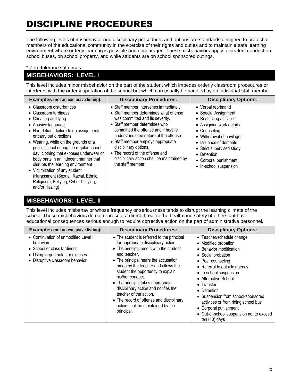## DISCIPLINE PROCEDURES

The following levels of misbehavior and disciplinary procedures and options are standards designed to protect all members of the educational community in the exercise of their rights and duties and to maintain a safe learning environment where orderly learning is possible and encouraged. These misbehaviors apply to student conduct on school buses, on school property, and while students are on school sponsored outings.

#### \* Zero tolerance offenses

#### **MISBEHAVIORS: LEVEL I**

This level includes minor misbehavior on the part of the student which impedes orderly classroom procedures or interferes with the orderly operation of the school but which can usually be handled by an individual staff member.

| <b>Examples (not an exclusive listing):</b>                                                                                                                                                                                                                                                                                                                                                                                                                                                                             | <b>Disciplinary Procedures:</b>                                                                                                                                                                                                                                                                                                                                                                            | <b>Disciplinary Options:</b>                                                                                                                                                                                                                                              |
|-------------------------------------------------------------------------------------------------------------------------------------------------------------------------------------------------------------------------------------------------------------------------------------------------------------------------------------------------------------------------------------------------------------------------------------------------------------------------------------------------------------------------|------------------------------------------------------------------------------------------------------------------------------------------------------------------------------------------------------------------------------------------------------------------------------------------------------------------------------------------------------------------------------------------------------------|---------------------------------------------------------------------------------------------------------------------------------------------------------------------------------------------------------------------------------------------------------------------------|
| • Classroom disturbances<br>• Classroom tardiness<br>• Cheating and lying<br>• Abusive language<br>• Non-defiant; failure to do assignments<br>or carry out directions<br>• Wearing, while on the grounds of a<br>public school during the regular school<br>day, clothing that exposes underwear or<br>body parts in an indecent manner that<br>disrupts the learning environment<br>• Victimization of any student<br>(Harassment (Sexual, Racial, Ethnic,<br>Religious), Bullying, Cyber-bullying,<br>and/or Hazing) | • Staff member intervenes immediately.<br>• Staff member determines what offense<br>was committed and its severity.<br>• Staff member determines who<br>committed the offense and if he/she<br>understands the nature of the offense.<br>• Staff member employs appropriate<br>disciplinary options.<br>• The record of the offense and<br>disciplinary action shall be maintained by<br>the staff member. | • Verbal reprimand<br>• Special Assignment<br>• Restricting activities<br>• Assigning work details<br>• Counseling<br>• Withdrawal of privileges<br>• Issuance of demerits<br>• Strict supervised study<br>• Detention<br>• Corporal punishment<br>• In-school suspension |

#### **MISBEHAVIORS: LEVEL II**

This level includes misbehavior whose frequency or seriousness tends to disrupt the learning climate of the school. These misbehaviors do not represent a direct threat to the health and safety of others but have educational consequences serious enough to require corrective action on the part of administrative personnel.

| <b>Examples (not an exclusive listing):</b>                                                                                                            | <b>Disciplinary Procedures:</b>                                                                                                                                                                                                                                                                                                                                                                                                                                                            | <b>Disciplinary Options:</b>                                                                                                                                                                                                                                                                                                                                                                                         |
|--------------------------------------------------------------------------------------------------------------------------------------------------------|--------------------------------------------------------------------------------------------------------------------------------------------------------------------------------------------------------------------------------------------------------------------------------------------------------------------------------------------------------------------------------------------------------------------------------------------------------------------------------------------|----------------------------------------------------------------------------------------------------------------------------------------------------------------------------------------------------------------------------------------------------------------------------------------------------------------------------------------------------------------------------------------------------------------------|
| • Continuation of unmodified Level I<br>behaviors<br>• School or class tardiness<br>• Using forged notes or excuses<br>• Disruptive classroom behavior | • The student is referred to the principal<br>for appropriate disciplinary action.<br>• The principal meets with the student<br>and teacher.<br>• The principal hears the accusation<br>made by the teacher and allows the<br>student the opportunity to explain<br>his/her conduct.<br>• The principal takes appropriate<br>disciplinary action and notifies the<br>teacher of the action.<br>• The record of offense and disciplinary<br>action shall be maintained by the<br>principal. | • Teacher/schedule change<br>• Modified probation<br>• Behavior modification<br>• Social probation<br>• Peer counseling<br>• Referral to outside agency<br>• In-school suspension<br>• Alternative School<br>$\bullet$ Transfer<br>• Detention<br>• Suspension from school-sponsored<br>activities or from riding school bus<br>• Corporal punishment<br>• Out-of-school suspension not to exceed<br>ten $(10)$ days |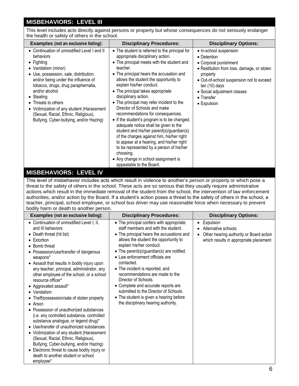#### **MISBEHAVIORS: LEVEL III**

This level includes acts directly against persons or property but whose consequences do not seriously endanger the health or safety of others in the school.

| <b>Examples (not an exclusive listing):</b>                                                                                                                                                                                                                                                                                                                                                                            | <b>Disciplinary Procedures:</b>                                                                                                                                                                                                                                                                                                                                                                                                                                                                                                                                                                                                                                                                                                                                                                           | <b>Disciplinary Options:</b>                                                                                                                                                                                                                        |
|------------------------------------------------------------------------------------------------------------------------------------------------------------------------------------------------------------------------------------------------------------------------------------------------------------------------------------------------------------------------------------------------------------------------|-----------------------------------------------------------------------------------------------------------------------------------------------------------------------------------------------------------------------------------------------------------------------------------------------------------------------------------------------------------------------------------------------------------------------------------------------------------------------------------------------------------------------------------------------------------------------------------------------------------------------------------------------------------------------------------------------------------------------------------------------------------------------------------------------------------|-----------------------------------------------------------------------------------------------------------------------------------------------------------------------------------------------------------------------------------------------------|
| • Continuation of unmodified Level I and II<br>behaviors<br>$\bullet$ Fighting<br>• Vandalism (minor)<br>• Use, possession, sale, distribution,<br>and/or being under the influence of<br>tobacco, drugs, drug paraphernalia,<br>and/or alcohol<br>• Stealing<br>• Threats to others<br>• Victimization of any student (Harassment<br>(Sexual, Racial, Ethnic, Religious),<br>Bullying, Cyber-bullying, and/or Hazing) | • The student is referred to the principal for<br>appropriate disciplinary action.<br>• The principal meets with the student and<br>teacher.<br>• The principal hears the accusation and<br>allows the student the opportunity to<br>explain his/her conduct.<br>• The principal takes appropriate<br>disciplinary action.<br>• The principal may refer incident to the<br>Director of Schools and make<br>recommendations for consequences.<br>• If the student's program is to be changed,<br>adequate notice shall be given to the<br>student and his/her parent(s)/guardian(s)<br>of the charges against him, his/her right<br>to appear at a hearing, and his/her right<br>to be represented by a person of his/her<br>choosing.<br>• Any change in school assignment is<br>appealable to the Board. | • In-school suspension<br>• Detention<br>• Corporal punishment<br>• Restitution from loss, damage, or stolen<br>property<br>• Out-of-school suspension not to exceed<br>ten $(10)$ days<br>• Social adjustment classes<br>• Transfer<br>• Expulsion |

#### **MISBEHAVIORS: LEVEL IV**

This level of misbehavior includes acts which result in violence to another's person or property or which pose a threat to the safety of others in the school. These acts are so serious that they usually require administrative actions which result in the immediate removal of the student from the school, the intervention of law enforcement authorities, and/or action by the Board. If a student's action poses a threat to the safety of others in the school, a teacher, principal, school employee, or school bus driver may use reasonable force when necessary to prevent bodily harm or death to another person.

| <b>Examples (not an exclusive listing):</b>                                                                                                                                                                                                                                                                                                                                                                                                                                                                                                                                                                                                                                                                                                                                                                                                                                                    | <b>Disciplinary Procedures:</b>                                                                                                                                                                                                                                                                                                                                                                                                                                                                                                                                 | <b>Disciplinary Options:</b>                                                                                          |
|------------------------------------------------------------------------------------------------------------------------------------------------------------------------------------------------------------------------------------------------------------------------------------------------------------------------------------------------------------------------------------------------------------------------------------------------------------------------------------------------------------------------------------------------------------------------------------------------------------------------------------------------------------------------------------------------------------------------------------------------------------------------------------------------------------------------------------------------------------------------------------------------|-----------------------------------------------------------------------------------------------------------------------------------------------------------------------------------------------------------------------------------------------------------------------------------------------------------------------------------------------------------------------------------------------------------------------------------------------------------------------------------------------------------------------------------------------------------------|-----------------------------------------------------------------------------------------------------------------------|
| • Continuation of unmodified Level I, II,<br>and III behaviors<br>• Death threat (hit list)<br>$\bullet$ Extortion<br>• Bomb threat<br>• Possession/use/transfer of dangerous<br>weapons*<br>• Assault that results in bodily injury upon<br>any teacher, principal, administrator, any<br>other employee of the school, or a school<br>resource officer*<br>• Aggravated assault*<br>$\bullet$ Vandalism<br>• Theft/possession/sale of stolen property<br>$\bullet$ Arson<br>• Possession of unauthorized substances<br>(i.e. any controlled substance, controlled<br>substance analogue, or legend drug)*<br>• Use/transfer of unauthorized substances<br>• Victimization of any student (Harassment<br>(Sexual, Racial, Ethnic, Religious),<br>Bullying, Cyber-bullying, and/or Hazing)<br>• Electronic threat to cause bodily injury or<br>death to another student or school<br>employee* | • The principal confers with appropriate<br>staff members and with the student.<br>• The principal hears the accusations and<br>allows the student the opportunity to<br>explain his/her conduct.<br>• The parent(s)/guardian(s) are notified.<br>• Law enforcement officials are<br>contacted.<br>• The incident is reported, and<br>recommendations are made to the<br>Director of Schools.<br>• Complete and accurate reports are<br>submitted to the Director of Schools.<br>• The student is given a hearing before<br>the disciplinary hearing authority. | Expulsion<br>Alternative schools<br>Other hearing authority or Board action<br>which results in appropriate placement |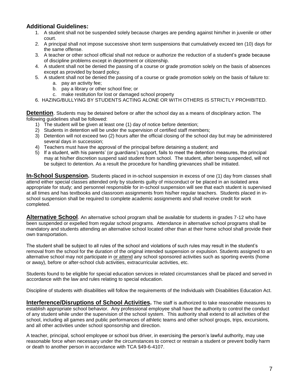#### **Additional Guidelines:**

- 1. A student shall not be suspended solely because charges are pending against him/her in juvenile or other court.
- 2. A principal shall not impose successive short term suspensions that cumulatively exceed ten (10) days for the same offense.
- 3. A teacher or other school official shall not reduce or authorize the reduction of a student's grade because of discipline problems except in deportment or citizenship.
- 4. A student shall not be denied the passing of a course or grade promotion solely on the basis of absences except as provided by board policy.
- 5. A student shall not be denied the passing of a course or grade promotion solely on the basis of failure to: a. pay an activity fee;
	- b. pay a library or other school fine; or
	- c. make restitution for lost or damaged school property
- 6. HAZING/BULLYING BY STUDENTS ACTING ALONE OR WITH OTHERS IS STRICTLY PROHIBITED.

**Detention**. Students may be detained before or after the school day as a means of disciplinary action. The following guidelines shall be followed:

- 1) The student will be given at least one (1) day of notice before detention;
- 2) Students in detention will be under the supervision of certified staff members;
- 3) Detention will not exceed two (2) hours after the official closing of the school day but may be administered several days in succession;
- 4) Teachers must have the approval of the principal before detaining a student; and
- 5) If a student, with his parents' (or guardians') support, fails to meet the detention measures, the principal may at his/her discretion suspend said student from school. The student, after being suspended, will not be subject to detention. As a result the procedure for handling grievances shall be initiated.

**In-School Suspension.** Students placed in in-school suspension in excess of one (1) day from classes shall attend either special classes attended only by students guilty of misconduct or be placed in an isolated area appropriate for study; and personnel responsible for in-school suspension will see that each student is supervised at all times and has textbooks and classroom assignments from his/her regular teachers. Students placed in inschool suspension shall be required to complete academic assignments and shall receive credit for work completed.

**Alternative School**. An alternative school program shall be available for students in grades 7-12 who have been suspended or expelled from regular school programs. Attendance in alternative school programs shall be mandatory and students attending an alternative school located other than at their home school shall provide their own transportation.

The student shall be subject to all rules of the school and violations of such rules may result in the student's removal from the school for the duration of the original intended suspension or expulsion. Students assigned to an alternative school may not participate in or attend any school sponsored activities such as sporting events (home or away), before or after-school club activities, extracurricular activities, etc.

Students found to be eligible for special education services in related circumstances shall be placed and served in accordance with the law and rules relating to special education.

Discipline of students with disabilities will follow the requirements of the Individuals with Disabilities Education Act.

**Interference/Disruptions of School Activities.** The staff is authorized to take reasonable measures to establish appropriate school behavior. Any professional employee shall have the authority to control the conduct of any student while under the supervision of the school system. This authority shall extend to all activities of the school, including all games and public performances of athletic teams and other school groups, trips, excursions, and all other activities under school sponsorship and direction.

A teacher, principal, school employee or school bus driver, in exercising the person's lawful authority, may use reasonable force when necessary under the circumstances to correct or restrain a student or prevent bodily harm or death to another person in accordance with TCA §49-6-4107.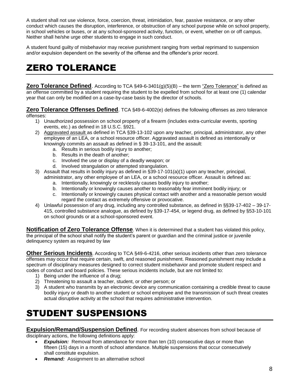A student shall not use violence, force, coercion, threat, intimidation, fear, passive resistance, or any other conduct which causes the disruption, interference, or obstruction of any school purpose while on school property, in school vehicles or buses, or at any school-sponsored activity, function, or event, whether on or off campus. Neither shall he/she urge other students to engage in such conduct.

A student found guilty of misbehavior may receive punishment ranging from verbal reprimand to suspension and/or expulsion dependent on the severity of the offense and the offender's prior record.

## ZERO TOLERANCE

**Zero Tolerance Defined**. According to TCA §49-6-3401(g)(5)(B) – the term <u>"Zero Tolerance"</u> is defined as an offense committed by a student requiring the student to be expelled from school for at least one (1) calendar year that can only be modified on a case-by-case basis by the director of schools.

**Zero Tolerance Offenses Defined**. TCA §49-6-4002(e) defines the following offenses as zero tolerance offenses:

- 1) Unauthorized possession on school property of a firearm (includes extra-curricular events, sporting events, etc.) as defined in 18 U.S.C. §921.
- 2) Aggravated assault as defined in TCA §39-13-102 upon any teacher, principal, administrator, any other employee of an LEA, or a school resource officer. Aggravated assault is defined as intentionally or knowingly commits an assault as defined in § 39-13-101, and the assault:
	- a. Results in serious bodily injury to another;
	- b. Results in the death of another;
	- c. Involved the use or display of a deadly weapon; or
	- d. Involved strangulation or attempted strangulation.
- 3) Assault that results in bodily injury as defined in §39-17-101(a)(1) upon any teacher, principal, administrator, any other employee of an LEA, or a school resource officer. Assault is defined as:
	- a. Intentionally, knowingly or recklessly causes bodily injury to another;
	- b. Intentionally or knowingly causes another to reasonably fear imminent bodily injury; or
	- c. Intentionally or knowingly causes physical contact with another and a reasonable person would regard the contact as extremely offensive or provocative.
- 4) Unlawful possession of any drug, including any controlled substance, as defined in §§39-17-402 39-17- 415, controlled substance analogue, as defined by §39-17-454, or legend drug, as defined by §53-10-101 on school grounds or at a school-sponsored event.

**Notification of Zero Tolerance Offense**. When it is determined that a student has violated this policy, the principal of the school shall notify the student's parent or guardian and the criminal justice or juvenile delinquency system as required by law

**Other Serious Incidents**. According to TCA §49-6-4216, other serious incidents other than zero tolerance offenses may occur that require certain, swift, and reasoned punishment. Reasoned punishment may include a spectrum of disciplinary measures designed to correct student misbehavior and promote student respect and codes of conduct and board policies. These serious incidents include, but are not limited to:

- 1) Being under the influence of a drug;
- 2) Threatening to assault a teacher, student, or other person; or
- 3) A student who transmits by an electronic device any communication containing a credible threat to cause bodily injury or death to another student or school employee and the transmission of such threat creates actual disruptive activity at the school that requires administrative intervention.

## STUDENT SUSPENSIONS

**Expulsion/Remand/Suspension Defined**. For recording student absences from school because of disciplinary actions, the following definitions apply:

- **Expulsion:** Removal from attendance for more than ten (10) consecutive days or more than fifteen (15) days in a month of school attendance. Multiple suspensions that occur consecutively shall constitute expulsion.
- *Remand:* Assignment to an alternative school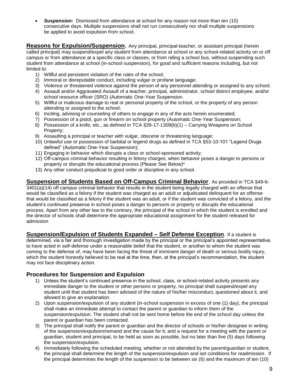**Suspension:** Dismissed from attendance at school for any reason not more than ten (10) consecutive days. Multiple suspensions shall not run consecutively nor shall multiple suspensions be applied to avoid expulsion from school.

**Reasons for Expulsion/Suspension**. Any principal, principal-teacher, or assistant principal (herein called principal) may suspend/expel any student from attendance at school or any school-related activity on or off campus or from attendance at a specific class or classes, or from riding a school bus, without suspending such student from attendance at school (in-school suspension), for good and sufficient reasons including, but not limited to:

- 1) Willful and persistent violation of the rules of the school;
- 2) Immoral or disreputable conduct, including vulgar or profane language;
- 3) Violence or threatened violence against the person of any personnel attending or assigned to any school; 4) Assault and/or Aggravated Assault of a teacher, principal, administrator, school district employee, and/or
- school resource officer (SRO) (Automatic One-Year Suspension.
- 5) Willful or malicious damage to real or personal property of the school, or the property of any person attending or assigned to the school;
- 6) Inciting, advising or counseling of others to engage in any of the acts herein enumerated;
- 7) Possession of a pistol, gun or firearm on school property (Automatic One-Year Suspension;
- 8) Possession of a knife, etc., as defined in TCA §39-17-1309(b)(1) Carrying Weapons on School Property;
- 9) Assaulting a principal or teacher with vulgar, obscene or threatening language;
- 10) Unlawful use or possession of barbital or legend drugs as defined in TCA §53-10-101 "Legend Drugs defined" (Automatic One-Year Suspension);
- 11) Engaging in behavior which disrupts a class or school-sponsored activity;
- 12) Off-campus criminal behavior resulting in felony charges; when behavior poses a danger to persons or property or disrupts the educational process (Please See Below)\*
- 13) Any other conduct prejudicial to good order or discipline in any school.

**Suspension of Students Based on Off-Campus Criminal Behavior**. As provided in TCA §49-6- 3401(a)(14) off campus criminal behavior that results in the student being legally charged with an offense that would be classified as a felony if the student was charged as an adult or adjudicated delinquent for an offense that would be classified as a felony if the student was an adult, or if the student was convicted of a felony, and the student's continued presence in school poses a danger to persons or property or disrupts the educational process. Apart from any other law to the contrary, the principal of the school in which the student is enrolled and the director of schools shall determine the appropriate educational assignment for the student released for admission

#### **Suspension/Expulsion of Students Expanded – Self Defense Exception**. If a student is determined, via a fair and thorough investigation made by the principal or the principal's appointed representative, to have acted in self-defense under a reasonable belief that the student, or another to whom the student was coming to the defense of, may have been facing the threat of imminent danger of death or serious bodily injury, which the student honestly believed to be real at the time, then, at the principal's recommendation, the student may not face disciplinary action.

#### **Procedures for Suspension and Expulsion**

- 1) Unless the student's continued presence in the school, class, or school-related activity presents any immediate danger to the student or other persons or property, no principal shall suspend/expel any student until that student has been advised of the nature of his/her misconduct, questioned about it, and allowed to give an explanation.
- 2) Upon suspension/expulsion of any student (in-school suspension in excess of one {1} day), the principal shall make an immediate attempt to contact the parent or guardian to inform them of the suspension/expulsion. The student shall not be sent home before the end of the school day unless the parent or guardian has been contacted.
- 3) The principal shall notify the parent or guardian and the director of schools or his/her designee in writing of the suspension/expulsion/remand and the cause for it; and a request for a meeting with the parent or guardian, student and principal, to be held as soon as possible, but no later than five (5) days following the suspension/expulsion.
- 4) Immediately following the scheduled meeting, whether or not attended by the parent/guardian or student, the principal shall determine the length of the suspension/expulsion and set conditions for readmission. If the principal determines the length of the suspension to be between six (6) and the maximum of ten (10)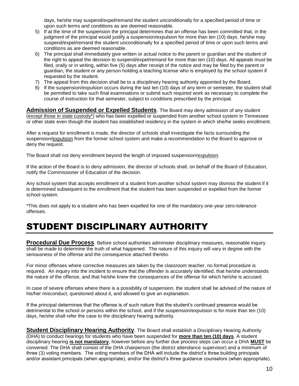days, he/she may suspend/expel/remand the student unconditionally for a specified period of time or upon such terms and conditions as are deemed reasonable.

- 5) If at the time of the suspension the principal determines that an offense has been committed that, in the judgment of the principal would justify a suspension/expulsion for more than ten (10) days, he/she may suspend/expel/remand the student unconditionally for a specified period of time or upon such terms and conditions as are deemed reasonable.
- 6) The principal shall immediately give written or actual notice to the parent or guardian and the student of the right to appeal the decision to suspend/expel/remand for more than ten (10) days. All appeals must be filed, orally or in writing, within five (5) days after receipt of the notice and may be filed by the parent or guardian, the student or any person holding a teaching license who is employed by the school system if requested by the student.
- 7) The appeal from this decision shall be to a disciplinary hearing authority appointed by the Board.
- 8) If the suspension/expulsion occurs during the last ten (10) days of any term or semester, the student shall be permitted to take such final examinations or submit such required work as necessary to complete the course of instruction for that semester, subject to conditions prescribed by the principal.

**Admission of Suspended or Expelled Students**. The Board may deny admission of any student (except those in state custody\*) who has been expelled or suspended from another school system in Tennessee or other state even though the student has established residency in the system in which she/he seeks enrollment.

After a request for enrollment is made, the director of schools shall investigate the facts surrounding the suspension/expulsion from the former school system and make a recommendation to the Board to approve or deny the request.

The Board shall not deny enrollment beyond the length of imposed suspension/expulsion.

If the action of the Board is to deny admission, the director of schools shall, on behalf of the Board of Education, notify the Commissioner of Education of the decision.

Any school system that accepts enrollment of a student from another school system may dismiss the student if it is determined subsequent to the enrollment that the student has been suspended or expelled from the former school system.

\*This does not apply to a student who has been expelled for one of the mandatory one-year zero-tolerance offenses.

## STUDENT DISCIPLINARY AUTHORITY

**Procedural Due Process**. Before school authorities administer disciplinary measures, reasonable inquiry shall be made to determine the truth of what happened. The nature of this inquiry will vary in degree with the seriousness of the offense and the consequence attached thereto.

For minor offenses where corrective measures are taken by the classroom teacher, no formal procedure is required. An inquiry into the incident to ensure that the offender is accurately identified, that he/she understands the nature of the offense, and that he/she knew the consequences of the offense for which he/she is accused.

In case of severe offenses where there is a possibility of suspension, the student shall be advised of the nature of his/her misconduct, questioned about it, and allowed to give an explanation.

If the principal determines that the offense is of such nature that the student's continued presence would be detrimental to the school or persons within the school, and if the suspension/expulsion is for more than ten (10) days, he/she shall refer the case to the disciplinary hearing authority.

**Student Disciplinary Hearing Authority**. The Board shall establish a Disciplinary Hearing Authority (DHA) to conduct hearings for students who have been suspended for **more than ten (10) days**. A student disciplinary hearing **is not mandatory**, however before any further due process steps can occur a DHA **MUST** be convened. The DHA shall consist of the DHA chairperson (the district attendance supervisor) and a minimum of three (3) voting members. The voting members of the DHA will include the district's three building principals and/or assistant principals (when appropriate), and/or the district's three guidance counselors (when appropriate).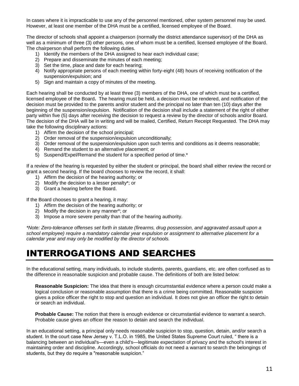In cases where it is impracticable to use any of the personnel mentioned, other system personnel may be used. However, at least one member of the DHA must be a certified, licensed employee of the Board.

The director of schools shall appoint a chairperson (normally the district attendance supervisor) of the DHA as well as a minimum of three (3) other persons, one of whom must be a certified, licensed employee of the Board. The chairperson shall perform the following duties.

- 1) Identify the members of the DHA assigned to hear each individual case;
- 2) Prepare and disseminate the minutes of each meeting;
- 3) Set the time, place and date for each hearing;
- 4) Notify appropriate persons of each meeting within forty-eight (48) hours of receiving notification of the suspension/expulsion; and
- 5) Sign and maintain a copy of minutes of the meeting.

Each hearing shall be conducted by at least three (3) members of the DHA, one of which must be a certified, licensed employee of the Board**.** The hearing must be held, a decision must be rendered, and notification of the decision must be provided to the parents and/or student and the principal no later than ten (10) days after the beginning of the suspension/expulsion. Notification of the decision shall include a statement of the right of either party within five (5) days after receiving the decision to request a review by the director of schools and/or Board. The decision of the DHA will be in writing and will be mailed, Certified, Return Receipt Requested. The DHA may take the following disciplinary actions:

- 1) Affirm the decision of the school principal;
- 2) Order removal of the suspension/expulsion unconditionally;
- 3) Order removal of the suspension/expulsion upon such terms and conditions as it deems reasonable;
- 4) Remand the student to an alternative placement; or
- 5) Suspend/Expel/Remand the student for a specified period of time.\*

If a review of the hearing is requested by either the student or principal, the board shall either review the record or grant a second hearing. If the board chooses to review the record, it shall:

- 1) Affirm the decision of the hearing authority; or
- 2) Modify the decision to a lesser penalty\*; or
- 3) Grant a hearing before the Board.

If the Board chooses to grant a hearing, it may:

- 1) Affirm the decision of the hearing authority; or
- 2) Modify the decision in any manner\*; or
- 3) Impose a more severe penalty than that of the hearing authority.

*\*Note: Zero-tolerance offenses set forth in statute (firearms, drug possession, and aggravated assault upon a school employee) require a mandatory calendar year expulsion or assignment to alternative placement for a calendar year and may only be modified by the director of schools.*

#### INTERROGATIONS AND SEARCHES

In the educational setting, many individuals, to include students, parents, guardians, etc. are often confused as to the difference in reasonable suspicion and probable cause. The definitions of both are listed below:

**Reasonable Suspicion:** The idea that there is enough circumstantial evidence where a person could make a logical conclusion or reasonable assumption that there is a crime being committed. Reasonable suspicion gives a police officer the right to stop and question an individual. It does not give an officer the right to detain or search an individual.

**Probable Cause:** The notion that there is enough evidence or circumstantial evidence to warrant a search. Probable cause gives an officer the reason to detain and search the individual.

In an educational setting, a principal only needs reasonable suspicion to stop, question, detain, and/or search a student. In the court case New Jersey v. T.L.O. in 1985, the United States Supreme Court ruled, " there is a balancing between an individual's—even a child's—legitimate expectation of privacy and the school's interest in maintaining order and discipline. Accordingly, school officials do not need a warrant to search the belongings of students, but they do require a "reasonable suspicion."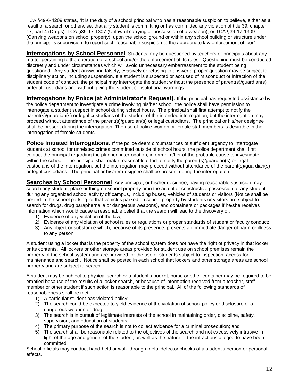TCA §49-6-4209 states, "It is the duty of a school principal who has a reasonable suspicion to believe, either as a result of a search or otherwise, that any student is committing or has committed any violation of title 39, chapter 17, part 4 (Drugs), TCA §39-17-1307 (Unlawful carrying or possession of a weapon), or TCA §39-17-1309 (Carrying weapons on school property), upon the school ground or within any school building or structure under the principal's supervision, to report such reasonable suspicion to the appropriate law enforcement officer".

**Interrogations by School Personnel**. Students may be questioned by teachers or principals about any matter pertaining to the operation of a school and/or the enforcement of its rules. Questioning must be conducted discreetly and under circumstances which will avoid unnecessary embarrassment to the student being questioned. Any student answering falsely, evasively or refusing to answer a proper question may be subject to disciplinary action, including suspension. If a student is suspected or accused of misconduct or infraction of the student code of conduct, the principal may interrogate the student without the presence of parent(s)/guardian(s) or legal custodians and without giving the student constitutional warnings.

**Interrogations by Police (at Administrator's Request).** If the principal has requested assistance by the police department to investigate a crime involving his/her school, the police shall have permission to interrogate a student suspect in school during school hours. The principal shall first attempt to notify the parent(s)/guardian(s) or legal custodians of the student of the intended interrogation, but the interrogation may proceed without attendance of the parent(s)/guardian(s) or legal custodians. The principal or his/her designee shall be present during the interrogation. The use of police women or female staff members is desirable in the interrogation of female students.

**Police Initiated Interrogations.** If the police deem circumstances of sufficient urgency to interrogate students at school for unrelated crimes committed outside of school hours, the police department shall first contact the principal regarding the planned interrogation, inform him/her of the probable cause to investigate within the school. The principal shall make reasonable effort to notify the parent(s)/guardian(s) or legal custodians of the interrogation, but the interrogation may proceed without attendance of the parent(s)/guardian(s) or legal custodians. The principal or his/her designee shall be present during the interrogation.

**Searches by School Personnel**. Any principal, or his/her designee, having reasonable suspicion may search any student, place or thing on school property or in the actual or constructive possession of any student during any organized school activity off campus, including buses, vehicles of students or visitors (Notice shall be posted in the school parking lot that vehicles parked on school property by students or visitors are subject to search for drugs, drug paraphernalia or dangerous weapons), and containers or packages if he/she receives information which would cause a reasonable belief that the search will lead to the discovery of:

- 1) Evidence of any violation of the law;
- 2) Evidence of any violation of school rules or regulations or proper standards of student or faculty conduct;
- 3) Any object or substance which, because of its presence, presents an immediate danger of harm or illness to any person.

A student using a locker that is the property of the school system does not have the right of privacy in that locker or its contents. All lockers or other storage areas provided for student use on school premises remain the property of the school system and are provided for the use of students subject to inspection, access for maintenance and search. Notice shall be posted in each school that lockers and other storage areas are school property and are subject to search.

A student may be subject to physical search or a student's pocket, purse or other container may be required to be emptied because of the results of a locker search, or because of information received from a teacher, staff member or other student if such action is reasonable to the principal. All of the following standards of reasonableness shall be met:

- 1) A particular student has violated policy;
- 2) The search could be expected to yield evidence of the violation of school policy or disclosure of a dangerous weapon or drug;
- 3) The search is in pursuit of legitimate interests of the school in maintaining order, discipline, safety, supervision, and education of students;
- 4) The primary purpose of the search is not to collect evidence for a criminal prosecution; and
- 5) The search shall be reasonable related to the objectives of the search and not excessively intrusive in light of the age and gender of the student, as well as the nature of the infractions alleged to have been committed.

School officials may conduct hand-held or walk-through metal detector checks of a student's person or personal effects.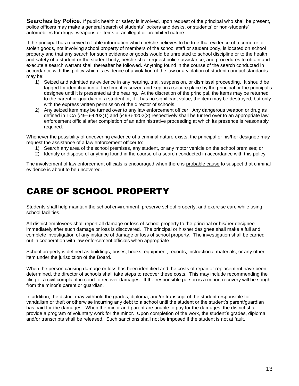**Searches by Police.** If public health or safety is involved, upon request of the principal who shall be present, police officers may make a general search of students' lockers and desks, or students' or non-students' automobiles for drugs, weapons or items of an illegal or prohibited nature.

If the principal has received reliable information which he/she believes to be true that evidence of a crime or of stolen goods, not involving school property of members of the school staff or student body, is located on school property and that any search for such evidence or goods would be unrelated to school discipline or to the health and safety of a student or the student body, he/she shall request police assistance, and procedures to obtain and execute a search warrant shall thereafter be followed. Anything found in the course of the search conducted in accordance with this policy which is evidence of a violation of the law or a violation of student conduct standards may be:

- 1) Seized and admitted as evidence in any hearing, trial, suspension, or dismissal proceeding. It should be tagged for identification at the time it is seized and kept in a secure place by the principal or the principal's designee until it is presented at the hearing. At the discretion of the principal, the items may be returned to the parent or guardian of a student or, if it has no significant value, the item may be destroyed, but only with the express written permission of the director of schools.
- 2) Any seized item may be turned over to any law enforcement officer. Any dangerous weapon or drug as defined in TCA §49-6-4202(1) and §49-6-4202(2) respectively shall be turned over to an appropriate law enforcement official after completion of an administrative proceeding at which its presence is reasonably required.

Whenever the possibility of uncovering evidence of a criminal nature exists, the principal or his/her designee may request the assistance of a law enforcement officer to:

- 1) Search any area of the school premises, any student, or any motor vehicle on the school premises; or
- 2) Identify or dispose of anything found in the course of a search conducted in accordance with this policy.

The involvement of law enforcement officials is encouraged when there is probable cause to suspect that criminal evidence is about to be uncovered.

#### CARE OF SCHOOL PROPERTY

Students shall help maintain the school environment, preserve school property, and exercise care while using school facilities.

All district employees shall report all damage or loss of school property to the principal or his/her designee immediately after such damage or loss is discovered. The principal or his/her designee shall make a full and complete investigation of any instance of damage or loss of school property. The investigation shall be carried out in cooperation with law enforcement officials when appropriate.

School property is defined as buildings, buses, books, equipment, records, instructional materials, or any other item under the jurisdiction of the Board.

When the person causing damage or loss has been identified and the costs of repair or replacement have been determined, the director of schools shall take steps to recover these costs. This may include recommending the filing of a civil complaint in court to recover damages. If the responsible person is a minor, recovery will be sought from the minor's parent or guardian.

In addition, the district may withhold the grades, diploma, and/or transcript of the student responsible for vandalism or theft or otherwise incurring any debt to a school until the student or the student's parent/guardian has paid for the damages. When the minor and parent are unable to pay for the damages, the district shall provide a program of voluntary work for the minor. Upon completion of the work, the student's grades, diploma, and/or transcripts shall be released. Such sanctions shall not be imposed if the student is not at fault.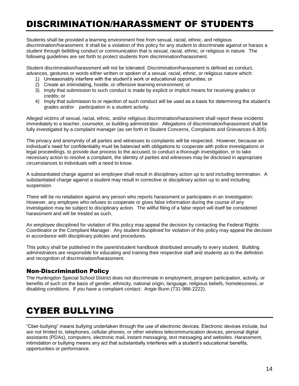## DISCRIMINATION/HARASSMENT OF STUDENTS

Students shall be provided a learning environment free from sexual, racial, ethnic, and religious discrimination/harassment. It shall be a violation of this policy for any student to discriminate against or harass a student through belittling conduct or communication that is sexual, racial, ethnic, or religious in nature. The following guidelines are set forth to protect students from discrimination/harassment.

Student discrimination/harassment will not be tolerated. Discrimination/harassment is defined as conduct, advances, gestures or words either written or spoken of a sexual, racial, ethnic, or religious nature which:

- 1) Unreasonably interfere with the student's work or educational opportunities; or
- 2) Create an intimidating, hostile, or offensive learning environment; or
- 3) Imply that submission to such conduct is made by explicit or implicit means for receiving grades or credits; or
- 4) Imply that submission to or rejection of such conduct will be used as a basis for determining the student's grades and/or participation in a student activity.

Alleged victims of sexual, racial, ethnic, and/or religious discrimination/harassment shall report these incidents immediately to a teacher, counselor, or building administrator. Allegations of discrimination/harassment shall be fully investigated by a complaint manager (as set forth in Student Concerns, Complaints and Grievances 6.305).

The privacy and anonymity of all parties and witnesses to complaints will be respected. However, because an individual's need for confidentiality must be balanced with obligations to cooperate with police investigations or legal proceedings, to provide due process to the accused, to conduct a thorough investigation, or to take necessary action to resolve a complaint, the identity of parties and witnesses may be disclosed in appropriate circumstances to individuals with a need to know.

A substantiated charge against an employee shall result in disciplinary action up to and including termination. A substantiated charge against a student may result in corrective or disciplinary action up to and including suspension.

There will be no retaliation against any person who reports harassment or participates in an investigation. However, any employee who refuses to cooperate or gives false information during the course of any investigation may be subject to disciplinary action. The willful filing of a false report will itself be considered harassment and will be treated as such.

An employee disciplined for violation of this policy may appeal the decision by contacting the Federal Rights Coordinator or the Compliant Manager. Any student disciplined for violation of this policy may appeal the decision in accordance with disciplinary policies and procedures.

This policy shall be published in the parent/student handbook distributed annually to every student. Building administrators are responsible for educating and training their respective staff and students as to the definition and recognition of discrimination/harassment.

#### Non-Discrimination Policy

The Huntingdon Special School District does not discriminate in employment, program participation, activity, or benefits of such on the basis of gender, ethnicity, national origin, language, religious beliefs, homelessness, or disabling conditions. If you have a complaint contact: Angie Bunn (731-986-2222).

## CYBER BULLYING

"Cber-bullying" means bullying undertaken through the use of electronic devices. Electronic devices include, but are not limited to, telephones, cellular phones, or other wireless telecommunication devices, personal digital assistants (PDAs), computers, electronic mail, instant messaging, text messaging and websites. Harassment, intimidation or bullying means any act that substantially interferes with a student's educational benefits, opportunities or performance.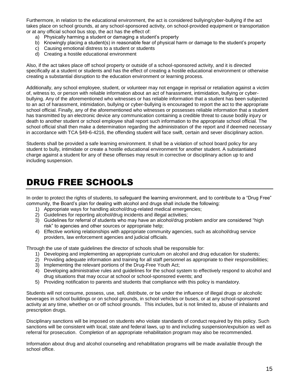Furthermore, in relation to the educational environment, the act is considered bullying/cyber-bullying if the act takes place on school grounds, at any school-sponsored activity, on school-provided equipment or transportation or at any official school bus stop, the act has the effect of:

- a) Physically harming a student or damaging a student's property
- b) Knowingly placing a student(s) in reasonable fear of physical harm or damage to the student's property
- c) Causing emotional distress to a student or students
- d) Creating a hostile educational environment

Also, if the act takes place off school property or outside of a school-sponsored activity, and it is directed specifically at a student or students and has the effect of creating a hostile educational environment or otherwise creating a substantial disruption to the education environment or learning process.

Additionally, any school employee, student, or volunteer may not engage in reprisal or retaliation against a victim of, witness to, or person with reliable information about an act of harassment, intimidation, bullying or cyberbullying. Any of the aforementioned who witnesses or has reliable information that a student has been subjected to an act of harassment, intimidation, bullying or cyber-bullying is encouraged to report the act to the appropriate school official. Finally, any of the aforementioned who witnesses or possesses reliable information that a student has transmitted by an electronic device any communication containing a credible threat to cause bodily injury or death to another student or school employee shall report such information to the appropriate school official. The school official shall then make a determination regarding the administration of the report and if deemed necessary in accordance with TCA §49-6-4216, the offending student will face swift, certain and sever disciplinary action.

Students shall be provided a safe learning environment. It shall be a violation of school board policy for any student to bully, intimidate or create a hostile educational environment for another student. A substantiated charge against a student for any of these offenses may result in corrective or disciplinary action up to and including suspension.

#### DRUG FREE SCHOOLS

In order to protect the rights of students, to safeguard the learning environment, and to contribute to a "Drug Free" community, the Board's plan for dealing with alcohol and drugs shall include the following:

- 1) Appropriate ways for handling alcohol/drug-related medical emergencies;
- 2) Guidelines for reporting alcohol/drug incidents and illegal activities;
- 3) Guidelines for referral of students who may have an alcohol/drug problem and/or are considered "high risk" to agencies and other sources or appropriate help;
- 4) Effective working relationships with appropriate community agencies, such as alcohol/drug service providers, law enforcement agencies and judicial officials.

Through the use of state guidelines the director of schools shall be responsible for:

- 1) Developing and implementing an appropriate curriculum on alcohol and drug education for students;
- 2) Providing adequate information and training for all staff personnel as appropriate to their responsibilities;
- 3) Implementing the relevant portions of the Drug-Free Youth Act;
- 4) Developing administrative rules and guidelines for the school system to effectively respond to alcohol and drug situations that may occur at school or school-sponsored events; and
- 5) Providing notification to parents and students that compliance with this policy is mandatory.

Students will not consume, possess, use, sell, distribute, or be under the influence of illegal drugs or alcoholic beverages in school buildings or on school grounds, in school vehicles or buses, or at any school-sponsored activity at any time, whether on or off school grounds. This includes, but is not limited to, abuse of inhalants and prescription drugs.

Disciplinary sanctions will be imposed on students who violate standards of conduct required by this policy. Such sanctions will be consistent with local, state and federal laws, up to and including suspension/expulsion as well as referral for prosecution. Completion of an appropriate rehabilitation program may also be recommended.

Information about drug and alcohol counseling and rehabilitation programs will be made available through the school office.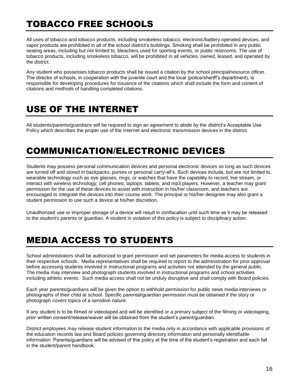## TOBACCO FREE SCHOOLS

All uses of tobacco and tobacco products, including smokeless tobacco, electronic/battery operated devices, and vapor products are prohibited in all of the school district's buildings. Smoking shall be prohibited in any public seating areas, including but not limited to, bleachers used for sporting events, or public restrooms. The use of tobacco products, including smokeless tobacco, will be prohibited in all vehicles, owned, leased, and operated by the district.

Any student who possesses tobacco products shall be issued a citation by the school principal/resource officer. The director of schools, in cooperation with the juvenile court and the local (police/sheriff's department), is responsible for developing procedures for issuance of the citations which shall include the form and content of citations and methods of handling completed citations.

#### USE OF THE INTERNET

All students/parents/guardians will be required to sign an agreement to abide by the district's Acceptable Use Policy which describes the proper use of the Internet and electronic transmission devices in the district.

## COMMUNICATION/ELECTRONIC DEVICES

Students may possess personal communication devices and personal electronic devices so long as such devices are turned off and stored in backpacks, purses or personal carry-all's. Such devices include, but are not limited to, wearable technology such as eye glasses, rings, or watches that have the capability to record, live stream, or interact with wireless technology; cell phones; laptops; tablets; and mp3 players. However, a teacher may grant permission for the use of these devices to assist with instruction in his/her classroom, and teachers are encouraged to integrate the devices into their course work. The principal or his/her designee may also grant a student permission to use such a device at his/her discretion.

Unauthorized use or improper storage of a device will result in confiscation until such time as it may be released to the student's parents or guardian. A student in violation of this policy is subject to disciplinary action.

## MEDIA ACCESS TO STUDENTS

School administrators shall be authorized to grant permission and set parameters for media access to students in their respective schools. Media representatives shall be required to report to the administration for prior approval before accessing students involved in instructional programs and activities not attended by the general public. The media may interview and photograph students involved in instructional programs and school activities including athletic events. Such media access shall not be unduly disruptive and shall comply with Board policies.

Each year parents/guardians will be given the option to withhold permission for public news media interviews or photographs of their child at school. Specific parental/guardian permission must be obtained if the story or photograph covers topics of a sensitive nature.

If any student is to be filmed or videotaped and will be identified or a primary subject of the filming or videotaping, prior written consent/release/waiver will be obtained from the student's parent/guardian.

District employees may release student information to the media only in accordance with applicable provisions of the education records law and Board policies governing directory information and personally identifiable information. Parents/guardians will be advised of this policy at the time of the student's registration and each fall in the student/parent handbook.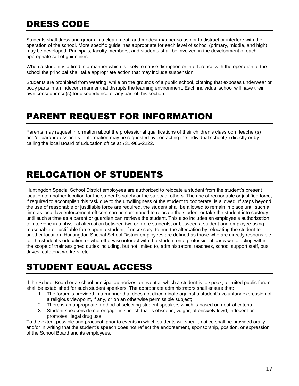## DRESS CODE

Students shall dress and groom in a clean, neat, and modest manner so as not to distract or interfere with the operation of the school. More specific guidelines appropriate for each level of school (primary, middle, and high) may be developed. Principals, faculty members, and students shall be involved in the development of each appropriate set of guidelines.

When a student is attired in a manner which is likely to cause disruption or interference with the operation of the school the principal shall take appropriate action that may include suspension.

Students are prohibited from wearing, while on the grounds of a public school, clothing that exposes underwear or body parts in an indecent manner that disrupts the learning environment. Each individual school will have their own consequence(s) for disobedience of any part of this section.

#### PARENT REQUEST FOR INFORMATION

Parents may request information about the professional qualifications of their children's classroom teacher(s) and/or paraprofessionals. Information may be requested by contacting the individual school(s) directly or by calling the local Board of Education office at 731-986-2222.

## RELOCATION OF STUDENTS

Huntingdon Special School District employees are authorized to relocate a student from the student's present location to another location for the student's safety or the safety of others. The use of reasonable or justified force, if required to accomplish this task due to the unwillingness of the student to cooperate, is allowed. If steps beyond the use of reasonable or justifiable force are required, the student shall be allowed to remain in place until such a time as local law enforcement officers can be summoned to relocate the student or take the student into custody until such a time as a parent or guardian can retrieve the student. This also includes an employee's authorization to intervene in a physical altercation between two or more students, or between a student and employee using reasonable or justifiable force upon a student, if necessary, to end the altercation by relocating the student to another location. Huntingdon Special School District employees are defined as those who are directly responsible for the student's education or who otherwise interact with the student on a professional basis while acting within the scope of their assigned duties including, but not limited to, administrators, teachers, school support staff, bus drives, cafeteria workers, etc.

#### STUDENT EQUAL ACCESS

If the School Board or a school principal authorizes an event at which a student is to speak, a limited public forum shall be established for such student speakers. The appropriate administrators shall ensure that:

- 1. The forum is provided in a manner that does not discriminate against a student's voluntary expression of a religious viewpoint, if any, or on an otherwise permissible subject;
- 2. There is an appropriate method of selecting student speakers which is based on neutral criteria;
- 3. Student speakers do not engage in speech that is obscene, vulgar, offensively lewd, indecent or promotes illegal drug use.

To the extent possible and practical, prior to events in which students will speak, notice shall be provided orally and/or in writing that the student's speech does not reflect the endorsement, sponsorship, position, or expression of the School Board and its employees.